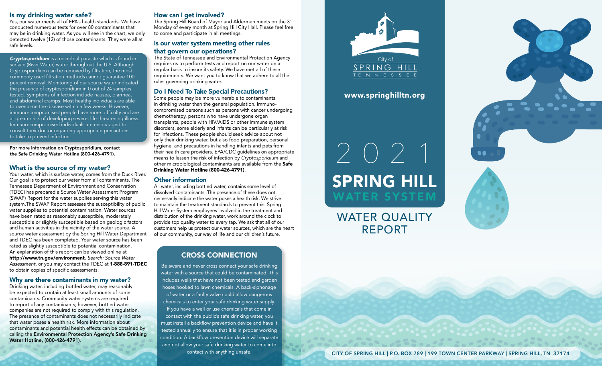## Is my drinking water safe?

Yes, our water meets all of EPA's health standards. We have conducted numerous tests for over 80 contaminants that may be in drinking water. As you will see in the chart, we only detected twelve (12) of those contaminants. They were all at safe levels.

### *Cryptosporidium* is a microbial parasite which is found in surface (River Water) water throughout the U.S. Although Cryptosporidium can be removed by filtration, the most commonly used filtration methods cannot guarantee 100 percent removal. Monitoring of our source water indicated the presence of cryptosporidium in 0 out of 24 samples tested. Symptoms of infection include nausea, diarrhea, and abdominal cramps. Most healthy individuals are able to overcome the disease within a few weeks. However, immuno-compromised people have more difficulty and are at greater risk of developing severe, life threatening illness. Immuno-compromised individuals are encouraged to consult their doctor regarding appropriate precautions to take to prevent infection.

For more information on Cryptosporidium, contact the Safe Drinking Water Hotline (800-426-4791).

# What is the source of my water?

Your water, which is surface water, comes from the Duck River. Our goal is to protect our water from all contaminants. The Tennessee Department of Environment and Conservation (TDEC) has prepared a Source Water Assessment Program (SWAP) Report for the water supplies serving this water system.The SWAP Report assesses the susceptibility of public water supplies to potential contamination. Water sources have been rated as reasonably susceptible, moderately susceptible or slightly susceptible based on geologic factors and human activities in the vicinity of the water source. A source water assessment by the Spring Hill Water Department and TDEC has been completed. Your water source has been rated as slightly susceptible to potential contamination. An explanation of this report can be viewed online at http://www.tn.gov/environment. *Search: Source Water Assessment,* or you may contact the TDEC at 1-888-891-TDEC to obtain copies of specific assessments.

## Why are there contaminants in my water?

Drinking water, including bottled water, may reasonably be expected to contain at least small amounts of some contaminants. Community water systems are required to report of any contaminants; however, bottled water companies are not required to comply with this regulation. The presence of contaminants does not necessarily indicate that water poses a health risk. More information about contaminants and potential health effects can be obtained by calling the Environmental Protection Agency's Safe Drinking Water Hotline, (800-426-4791).

### How can I get involved?

The Spring Hill Board of Mayor and Aldermen meets on the 3rd Monday of every month at Spring Hill City Hall. Please feel free to come and participate in all meetings.

### Is our water system meeting other rules that govern our operations?

The State of Tennessee and Environmental Protection Agency requires us to perform tests and report on our water on a regular basis to insure its safety. We have met all of these requirements. We want you to know that we adhere to all the rules governing drinking water.

# Do I Need To Take Special Precautions?

Some people may be more vulnerable to contaminants in drinking water than the general population. Immunocompromised persons such as persons with cancer undergoing chemotherapy, persons who have undergone organ transplants, people with HIV/AIDS or other immune system disorders, some elderly and infants can be particularly at risk for infections. These people should seek advice about not only their drinking water, but also food preparation, personal hygiene, and precautions in handling infants and pets from their health care providers. EPA/CDC guidelines on appropriate means to lessen the risk of infection by *Cryptosporidium* and other microbiological contaminants are available from the Safe Drinking Water Hotline (800-426-4791).

### Other information

All water, including bottled water, contains some level of dissolved contaminants. The presence of these does not necessarily indicate the water poses a health risk. We strive to maintain the treatment standards to prevent this. Spring Hill Water System employees involved in the treatment and distribution of the drinking water, work around the clock to provide top quality water to every tap. We ask that all of our customers help us protect our water sources, which are the heart of our community, our way of life and our children's future.

# CROSS CONNECTION

Be aware and never cross connect your safe drinking water with a source that could be contaminated. This includes wells that have not been tested and garden hoses hooked to lawn chemicals. A back-siphonage of water or a faulty valve could allow dangerous chemicals to enter your safe drinking water supply. If you have a well or use chemicals that come in contact with the public's safe drinking water, you must install a backflow prevention device and have it tested annually to ensure that it is in proper working condition. A backflow prevention device will separate and not allow your safe drinking water to come into contact with anything unsafe.



www.springhilltn.org

# $\sqrt{2}$ SPRING HILL WATER SYSTEM

WATER QUALITY REPORT